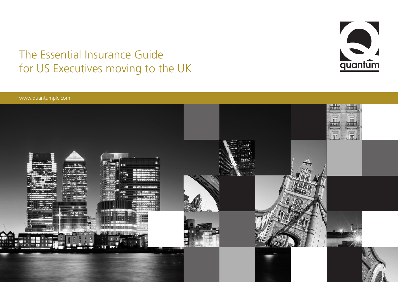# The Essential Insurance Guide The Essential Insurance Guide<br>for US Executives moving to the UK quantum



www.quantumplc.com

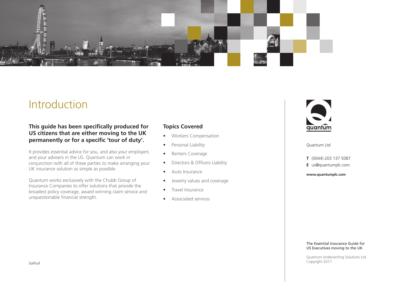

## Introduction

### **This guide has been specifically produced for US citizens that are either moving to the UK permanently or for a specific 'tour of duty'.**

It provides essential advice for you, and also your employers and your advisers in the US. Quantum can work in conjunction with all of these parties to make arranging your UK insurance solution as simple as possible.

Quantum works exclusively with the Chubb Group of Insurance Companies to offer solutions that provide the broadest policy coverage, award winning claim service and unquestionable financial strength.

### **Topics Covered**

- • Workers Compensation
- Personal Liability
- Renters Coverage
- Directors & Officers Liability
- Auto Insurance
- Jewelry values and coverage
- Travel Insurance
- Associated services



Quantum Ltd

**T** (0044) 203 137 5087

**E** us@quantumplc.com

**www.quantumplc.com**

#### The Essential Insurance Guide for US Executives moving to the UK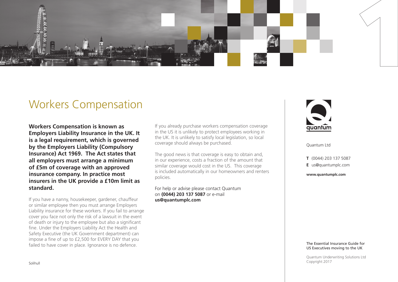

### Workers Compensation

**Workers Compensation is known as Employers Liability Insurance in the UK. It is a legal requirement, which is governed by the Employers Liability (Compulsory Insurance) Act 1969. The Act states that all employers must arrange a minimum of £5m of coverage with an approved insurance company. In practice most insurers in the UK provide a £10m limit as standard.**

If you have a nanny, housekeeper, gardener, chauffeur or similar employee then you must arrange Employers Liability insurance for these workers. If you fail to arrange cover you face not only the risk of a lawsuit in the event of death or injury to the employee but also a significant fine. Under the Employers Liability Act the Health and Safety Executive (the UK Government department) can impose a fine of up to £2,500 for EVERY DAY that you failed to have cover in place. Ignorance is no defence.

If you already purchase workers compensation coverage in the US it is unlikely to protect employees working in the UK. It is unlikely to satisfy local legislation, so local coverage should always be purchased.

The good news is that coverage is easy to obtain and, in our experience, costs a fraction of the amount that similar coverage would cost in the US. This coverage is included automatically in our homeowners and renters policies.

For help or advise please contact Quantum on **(0044) 203 137 5087** or e-mail **us@quantumplc.com**



Quantum Ltd

**T** (0044) 203 137 5087

**E** us@quantumplc.com

**www.quantumplc.com**

#### The Essential Insurance Guide for US Executives moving to the UK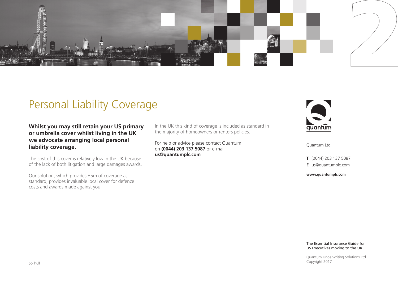

# Personal Liability Coverage

**Whilst you may still retain your US primary or umbrella cover whilst living in the UK we advocate arranging local personal liability coverage.**

The cost of this cover is relatively low in the UK because of the lack of both litigation and large damages awards.

Our solution, which provides £5m of coverage as standard, provides invaluable local cover for defence costs and awards made against you.

In the UK this kind of coverage is included as standard in the majority of homeowners or renters policies.

For help or advice please contact Quantum on **(0044) 203 137 5087** or e-mail **us@quantumplc.com** 



Quantum Ltd

**T** (0044) 203 137 5087 **E** us@quantumplc.com

**www.quantumplc.com**

#### The Essential Insurance Guide for US Executives moving to the UK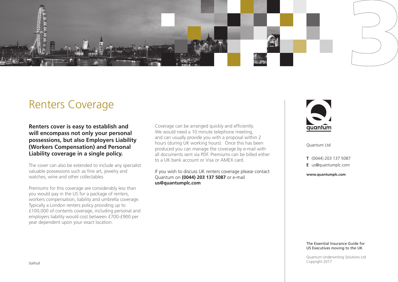

### Renters Coverage

**Renters cover is easy to establish and will encompass not only your personal possessions, but also Employers Liability (Workers Compensation) and Personal Liability coverage in a single policy.**

The cover can also be extended to include any specialist valuable possessions such as fine art, jewelry and watches, wine and other collectables.

Premiums for this coverage are considerably less than you would pay in the US for a package of renters, workers compensation, liability and umbrella coverage. Typically a London renters policy providing up to £100,000 of contents coverage, including personal and employers liability would cost between £700-£900 per year dependent upon your exact location.

Coverage can be arranged quickly and efficiently. We would need a 10 minute telephone meeting, and can usually provide you with a proposal within 2 hours (during UK working hours). Once this has been produced you can manage the coverage by e-mail with all documents sent via PDF. Premiums can be billed either to a UK bank account or Visa or AMEX card.

If you wish to discuss UK renters coverage please contact Quantum on **(0044) 203 137 5087** or e-mail **us@quantumplc.com** 



Quantum Ltd

**T** (0044) 203 137 5087

**E** us@quantumplc.com

**www.quantumplc.com**

#### The Essential Insurance Guide for US Executives moving to the UK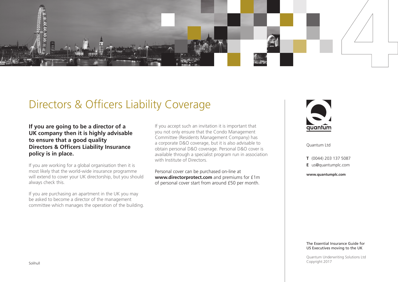

## Directors & Officers Liability Coverage

**If you are going to be a director of a UK company then it is highly advisable to ensure that a good quality Directors & Officers Liability Insurance policy is in place.**

If you are working for a global organisation then it is most likely that the world-wide insurance programme will extend to cover your UK directorship, but you should always check this.

If you are purchasing an apartment in the UK you may be asked to become a director of the management committee which manages the operation of the building.

If you accept such an invitation it is important that you not only ensure that the Condo Management Committee (Residents Management Company) has a corporate D&O coverage, but it is also advisable to obtain personal D&O coverage. Personal D&O cover is available through a specialist program run in association with Institute of Directors.

Personal cover can be purchased on-line at **www.directorprotect.com** and premiums for £1m of personal cover start from around £50 per month.



Quantum Ltd

**T** (0044) 203 137 5087 **E** us@quantumplc.com

**www.quantumplc.com**

#### The Essential Insurance Guide for US Executives moving to the UK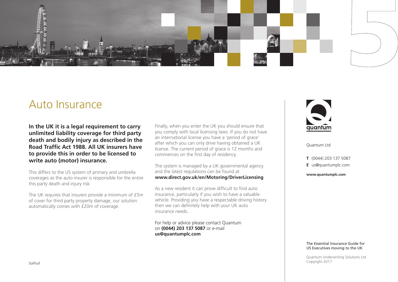

### Auto Insurance

**In the UK it is a legal requirement to carry unlimited liability coverage for third party death and bodily injury as described in the Road Traffic Act 1988. All UK insurers have to provide this in order to be licensed to write auto (motor) insurance.**

This differs to the US system of primary and umbrella coverages as the auto insurer is responsible for the entire this party death and injury risk

The UK requires that insurers provide a minimum of £5m of cover for third party property damage, our solution automatically comes with £20m of coverage.

Finally, when you enter the UK you should ensure that you comply with local licensing laws. If you do not have an international license you have a 'period of grace' after which you can only drive having obtained a UK license. The current period of grace is 12 months and commences on the first day of residency.

The system is managed by a UK governmental agency and the latest regulations can be found at **www.direct.gov.uk/en/Motoring/DriverLicensing**

As a new resident it can prove difficult to find auto insurance, particularly if you wish to have a valuable vehicle. Providing you have a respectable driving history then we can definitely help with your UK auto insurance needs.

For help or advice please contact Quantum on **(0044) 203 137 5087** or e-mail **us@quantumplc.com** 



Quantum Ltd

**T** (0044) 203 137 5087

**E** us@quantumplc.com

**www.quantumplc.com**

#### The Essential Insurance Guide for US Executives moving to the UK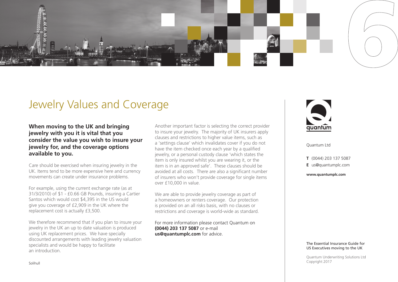

### Jewelry Values and Coverage

**When moving to the UK and bringing jewelry with you it is vital that you consider the value you wish to insure your jewelry for, and the coverage options available to you.**

Care should be exercised when insuring jewelry in the UK. Items tend to be more expensive here and currency movements can create under insurance problems.

For example, using the current exchange rate (as at 31/3/2010) of \$1 - £0.66 GB Pounds, insuring a Cartier Santos which would cost \$4,395 in the US would give you coverage of £2,909 in the UK where the replacement cost is actually £3,500.

We therefore recommend that if you plan to insure your jewelry in the UK an up to date valuation is produced using UK replacement prices. We have specially discounted arrangements with leading jewelry valuation specialists and would be happy to facilitate an introduction.

Another important factor is selecting the correct provider to insure your jewelry. The majority of UK insurers apply clauses and restrictions to higher value items, such as a 'settings clause' which invalidates cover if you do not have the item checked once each year by a qualified jewelry, or a personal custody clause 'which states the item is only insured whilst you are wearing it, or the item is in an approved safe'. These clauses should be avoided at all costs. There are also a significant number of insurers who won't provide coverage for single items over £10,000 in value.

We are able to provide jewelry coverage as part of a homeowners or renters coverage. Our protection is provided on an all risks basis, with no clauses or restrictions and coverage is world-wide as standard.

For more information please contact Quantum on **(0044) 203 137 5087** or e-mail **us@quantumplc.com** for advice.



Quantum Ltd

**T** (0044) 203 137 5087

**E** us@quantumplc.com

**www.quantumplc.com**

#### The Essential Insurance Guide for US Executives moving to the UK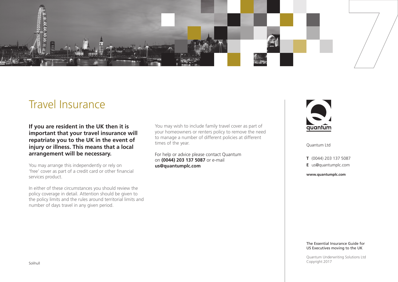

## Travel Insurance

**If you are resident in the UK then it is important that your travel insurance will repatriate you to the UK in the event of injury or illness. This means that a local arrangement will be necessary.**

You may arrange this independently or rely on 'free' cover as part of a credit card or other financial services product.

In either of these circumstances you should review the policy coverage in detail. Attention should be given to the policy limits and the rules around territorial limits and number of days travel in any given period.

You may wish to include family travel cover as part of your homeowners or renters policy to remove the need to manage a number of different policies at different times of the year.

For help or advice please contact Quantum on **(0044) 203 137 5087** or e-mail **us@quantumplc.com**



Quantum Ltd

**T** (0044) 203 137 5087

**E** us@quantumplc.com

**www.quantumplc.com**

#### The Essential Insurance Guide for US Executives moving to the UK